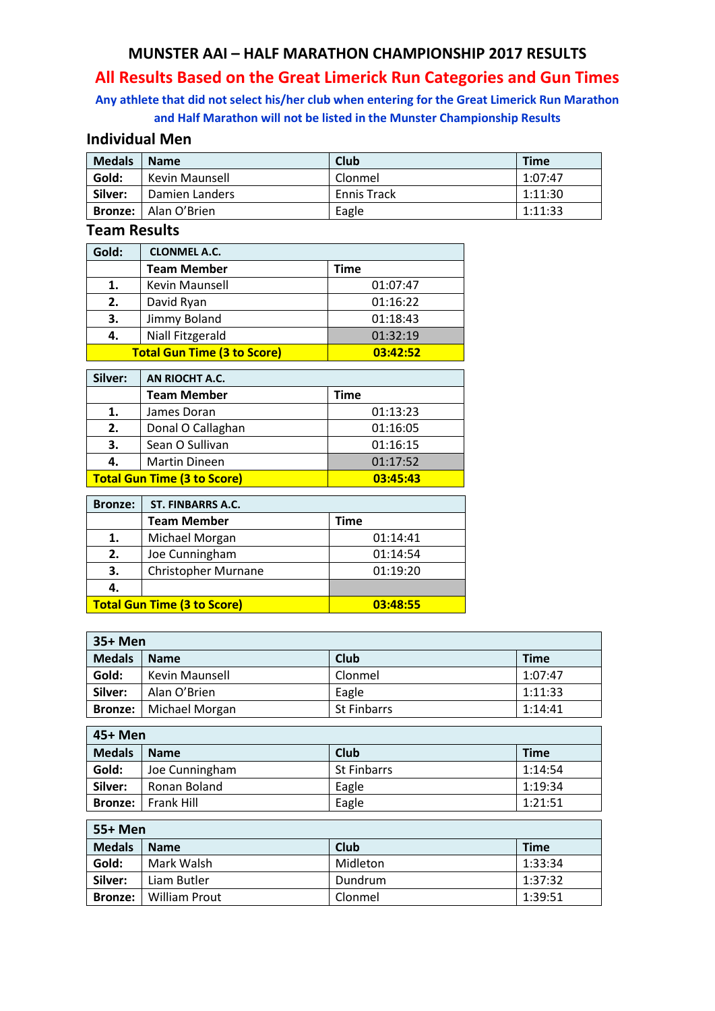### **MUNSTER AAI – HALF MARATHON CHAMPIONSHIP 2017 RESULTS**

# **All Results Based on the Great Limerick Run Categories and Gun Times**

### **Any athlete that did not select his/her club when entering for the Great Limerick Run Marathon and Half Marathon will not be listed in the Munster Championship Results**

### **Individual Men**

| <b>Medals</b> | <b>Name</b>                 | Club               | <b>Time</b> |
|---------------|-----------------------------|--------------------|-------------|
| Gold:         | Kevin Maunsell              | Clonmel            | 1:07:47     |
| Silver:       | Damien Landers              | <b>Ennis Track</b> | 1:11:30     |
|               | <b>Bronze:</b> Alan O'Brien | Eagle              | 1:11:33     |

### **Team Results**

| Gold: | <b>CLONMEL A.C.</b>                |          |
|-------|------------------------------------|----------|
|       | <b>Team Member</b>                 | Time     |
|       | Kevin Maunsell                     | 01:07:47 |
| 2.    | David Ryan                         | 01:16:22 |
| 3.    | Jimmy Boland                       | 01:18:43 |
| 4.    | Niall Fitzgerald                   | 01:32:19 |
|       | <b>Total Gun Time (3 to Score)</b> | 03:42:52 |

| Silver:                                        | AN RIOCHT A.C.       |          |
|------------------------------------------------|----------------------|----------|
|                                                | <b>Team Member</b>   | Time     |
| 1.                                             | James Doran          | 01:13:23 |
| 2.                                             | Donal O Callaghan    | 01:16:05 |
| 3.                                             | Sean O Sullivan      | 01:16:15 |
| 4.                                             | <b>Martin Dineen</b> | 01:17:52 |
| <b>Total Gun Time (3 to Score)</b><br>03:45:43 |                      |          |

| <b>Bronze:</b>                     | ST. FINBARRS A.C.          |          |
|------------------------------------|----------------------------|----------|
|                                    | <b>Team Member</b>         | Time     |
| 1.                                 | Michael Morgan             | 01:14:41 |
| 2.                                 | Joe Cunningham             | 01:14:54 |
| 3.                                 | <b>Christopher Murnane</b> | 01:19:20 |
| 4.                                 |                            |          |
| <b>Total Gun Time (3 to Score)</b> |                            | 03:48:55 |

| 35+ Men        |                |                    |             |
|----------------|----------------|--------------------|-------------|
| <b>Medals</b>  | <b>Name</b>    | Club               | <b>Time</b> |
| Gold:          | Kevin Maunsell | Clonmel            | 1:07:47     |
| Silver:        | Alan O'Brien   | Eagle              | 1:11:33     |
| <b>Bronze:</b> | Michael Morgan | <b>St Finbarrs</b> | 1:14:41     |

| 45+ Men        |                                    |                    |         |  |
|----------------|------------------------------------|--------------------|---------|--|
| <b>Medals</b>  | Club<br><b>Time</b><br><b>Name</b> |                    |         |  |
| Gold:          | Joe Cunningham                     | <b>St Finbarrs</b> | 1:14:54 |  |
| Silver:        | Ronan Boland                       | Eagle              | 1:19:34 |  |
| <b>Bronze:</b> | Frank Hill                         | Eagle              | 1:21:51 |  |

| 55+ Men        |                      |          |             |
|----------------|----------------------|----------|-------------|
| <b>Medals</b>  | <b>Name</b>          | Club     | <b>Time</b> |
| Gold:          | Mark Walsh           | Midleton | 1:33:34     |
| Silver:        | Liam Butler          | Dundrum  | 1:37:32     |
| <b>Bronze:</b> | <b>William Prout</b> | Clonmel  | 1:39:51     |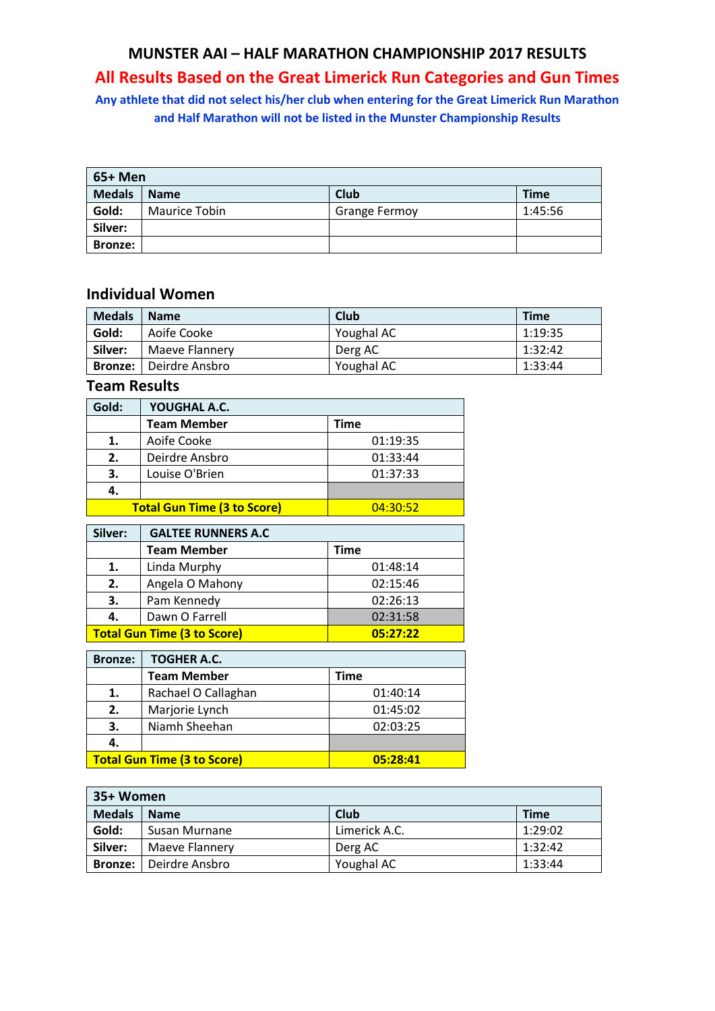### **MUNSTER AAI – HALF MARATHON CHAMPIONSHIP 2017 RESULTS**

# **All Results Based on the Great Limerick Run Categories and Gun Times**

**Any athlete that did not select his/her club when entering for the Great Limerick Run Marathon and Half Marathon will not be listed in the Munster Championship Results**

| 65+ Men        |                      |                      |             |
|----------------|----------------------|----------------------|-------------|
| <b>Medals</b>  | <b>Name</b>          | Club                 | <b>Time</b> |
| Gold:          | <b>Maurice Tobin</b> | <b>Grange Fermoy</b> | 1:45:56     |
| Silver:        |                      |                      |             |
| <b>Bronze:</b> |                      |                      |             |

#### **Individual Women**

| <b>Medals</b>  | <b>Name</b>    | Club       | <b>Time</b> |
|----------------|----------------|------------|-------------|
| Gold:          | Aoife Cooke    | Youghal AC | 1:19:35     |
| Silver:        | Maeve Flannery | Derg AC    | 1:32:42     |
| <b>Bronze:</b> | Deirdre Ansbro | Youghal AC | 1:33:44     |

### **Team Results**

| Gold: | YOUGHAL A.C.                       |          |
|-------|------------------------------------|----------|
|       | <b>Team Member</b>                 | Time     |
| 1.    | Aoife Cooke                        | 01:19:35 |
| 2.    | Deirdre Ansbro                     | 01:33:44 |
| 3.    | Louise O'Brien                     | 01:37:33 |
| 4.    |                                    |          |
|       | <b>Total Gun Time (3 to Score)</b> | 04:30:52 |

| Silver:                                        | <b>GALTEE RUNNERS A.C</b> |          |
|------------------------------------------------|---------------------------|----------|
|                                                | <b>Team Member</b>        | Time     |
| 1.                                             | Linda Murphy              | 01:48:14 |
| 2.                                             | Angela O Mahony           | 02:15:46 |
| 3.                                             | Pam Kennedy               | 02:26:13 |
| 4.                                             | Dawn O Farrell            | 02:31:58 |
| <b>Total Gun Time (3 to Score)</b><br>05:27:22 |                           |          |

| <b>Bronze:</b>                                 | <b>TOGHER A.C.</b>  |          |
|------------------------------------------------|---------------------|----------|
|                                                | <b>Team Member</b>  | Time     |
| 1.                                             | Rachael O Callaghan | 01:40:14 |
| 2.                                             | Marjorie Lynch      | 01:45:02 |
| 3.                                             | Niamh Sheehan       | 02:03:25 |
| 4.                                             |                     |          |
| <b>Total Gun Time (3 to Score)</b><br>05:28:41 |                     |          |

| 35+ Women      |                |               |             |  |  |
|----------------|----------------|---------------|-------------|--|--|
| <b>Medals</b>  | <b>Name</b>    | Club          | <b>Time</b> |  |  |
| Gold:          | Susan Murnane  | Limerick A.C. | 1:29:02     |  |  |
| Silver:        | Maeve Flannery | Derg AC       | 1:32:42     |  |  |
| <b>Bronze:</b> | Deirdre Ansbro | Youghal AC    | 1:33:44     |  |  |